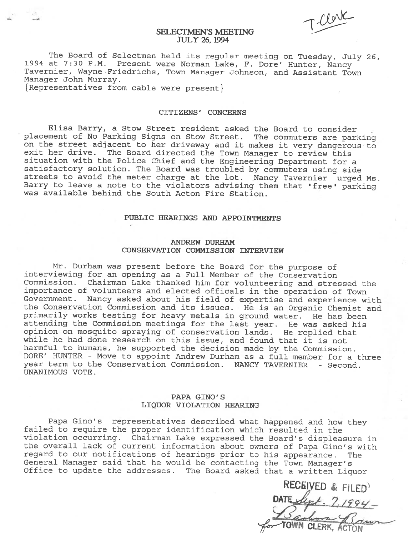$\bigcap$ 

# SELECTMEN'S MEETING JULY 26, 1994

The Board of Selectmen held its regular meeting on Tuesday, July 26,<br>1994 at 7:30 P.M. Present were Norman Lake, F. Dore' Hunter, Nancy Tavernier, Wayne Friedrichs, Town Manager Johnson, and Assistant Town Manager John Murray.

{ Representatives from cable were present}

## CITIZENS' CONCERNS

Elisa Barry, <sup>a</sup> Stow Street resident asked the Board to consider <sup>p</sup>lacement of No Parking Signs on Stow Street. The commuters are parking on the street adjacent to her driveway and it makes it very dangerous to exit her drive. The Board directed the Town Manager to review this situation with the Police Chief and the Engineering Department for <sup>a</sup> satisfactory solution. The Board was troubled by commuters using side streets to avoid the meter charge at the lot. Nancy Tavernier urged Ms. Barry to leave <sup>a</sup> note to the violators advising them that "free" parking was available behind the South Acton Fire Station.

# PUBLIC HEARINGS AND APPOINTMENTS

## ANDREW DURHAM CONSERVATION COMMISSION INTERVIEW

Mr. Durham was present before the Board for the purpose of interviewing for an opening as <sup>a</sup> Full Member of the Conservation Commission. Chairman Lake thanked him for volunteering and stressed the importance of volunteers and elected officals in the operation of Town Government. Nancy asked about his field of expertise and experience with the Conservation Commission and its issues. He is an Organic Chemist and primarily works testing for heavy metals in ground water. He has been attending the Commission meetings for the last year. He was asked his opinion on mosquito spraying of conservation lands. He replied that while he had done research on this issue, and found that it is not harmful to humans, he supported the decision made by the Commission. DORE' HUNTER - Move to appoint Andrew Durham as <sup>a</sup> full member for <sup>a</sup> three year term to the Conservation Commission. NANCY TAVERNIER - Second. UNANIMOUS VOTE.

## PAPA GINO'S LIQUOR VIOLATION HEARING

Papa Gino's representatives described what happened and how they failed to require the proper identification which resulted in the violation occurring. Chairman Lake expressed the Board's displeasure in the overall lack of current information about owners of Papa Gino's with regard to our notifications of hearings prior to his appearance. The General Manager said that he would be contacting the Town Manager's Office to update the addresses. The Board asked that <sup>a</sup> written Liquor

RECEIVED & FILED)<br>DATE Light - 7,1994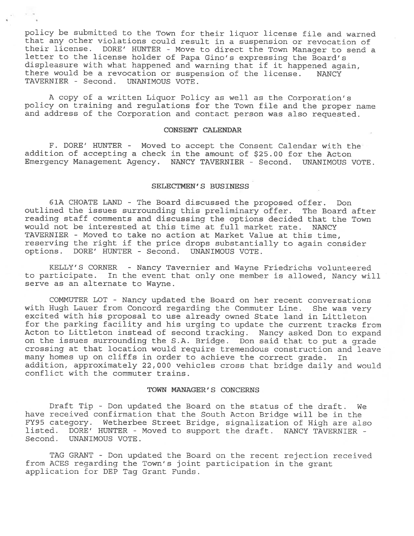policy be submitted to the Town for their liquor license file and warned that any other violations could result in <sup>a</sup> suspension or revocation of their license. DORE' HUNTER - Move to direct the Town Manager to send <sup>a</sup> letter to the license holder of Papa Gino's expressing the Board's displeasure with what happened and warning that if it happened again, there would be <sup>a</sup> revocation or suspension of the license. NANCY TAVERNIER - Second. UNANIMOUS VOTE.

<sup>A</sup> copy of <sup>a</sup> written Liquor Policy as well as the Corporation's policy on training and regulations for the Town file and the proper name and address of the Corporation and contact person was also requested.

#### CONSENT CALENDAR

F. DORE' HUNTER - Moved to accep<sup>t</sup> the Consent Calendar with the addition of accepting <sup>a</sup> check in the amount of \$25.00 for the Acton Emergency Management Agency. NANCY TAVERNIER - Second. UNANIMOUS VOTE.

# SELECTMEN'S BUSINESS

61A CHOATE LAND - The Board discussed the proposed offer. Don outlined the issues surrounding this preliminary offer. The Board after reading staff comments and discussing the options decided that the Town would not be interested at this time at full market rate. NANCY TAVERNIER - Moved to take no action at Market Value at this time, reserving the right if the price drops substantially to again consider options. DORE' HUNTER - Second. UNANIMOUS VOTE.

KELLY'S CORNER - Nancy Tavernier and Wayne Friedrichs volunteered to participate. In the event that only one member is allowed, Nancy will serve as an alternate to Wayne.

COMMUTER LOT - Nancy updated the Board on her recent conversations with Hugh Lauer from Concord regarding the Commuter Line. She was very excited with his proposal to use already owned State land in Littleton for the parking facility and his urging to update the current tracks from Acton to Littleton instead of second tracking. Nancy asked Don to expan<sup>d</sup> on the issues surrounding the S.A. Bridge. Don said that to pu<sup>t</sup> <sup>a</sup> grade crossing at that location would require tremendous construction and leave many homes up on cliffs in order to achieve the correct grade. In addition, approximately 22,000 vehicles cross that bridge daily and would conflict with the commuter trains.

#### TOWN MANAGER'S CONCERNS

Draft Tip - Don updated the Board on the status of the draft. We have received confirmation that the South Acton Bridge will be in the FY95 category. Wetherbee Street Bridge, signalization of High are also listed. DORE' HUNTER - Moved to suppor<sup>t</sup> the draft. NANCY TAVERNIER - Second. UNANIMOUS VOTE.

TAG GRANT - Don updated the Board on the recent rejection received from ACES regarding the Town's joint participation in the gran<sup>t</sup> application for DEP Tag Grant Funds.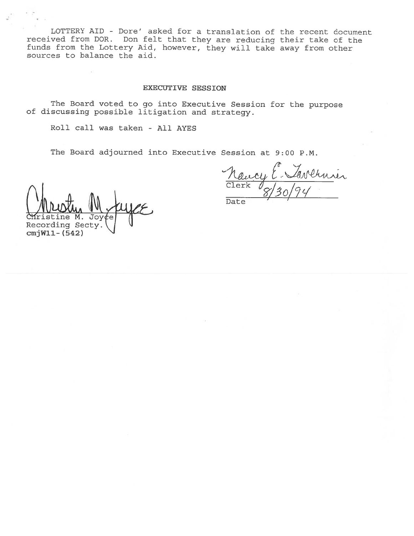LOTTERY AID - Dore' asked for <sup>a</sup> translation of the recent document received from DOR. Don felt that they are reducing their take of the funds from the Lottery Aid, however, they will take away from other sources to balance the aid.

## EXECUTIVE SESSION

The Board voted to go into Executive Session for the purpose of discussing possible litigation and strategy.

Roll call was taken - All AYES

The Board adjourned into Executive Session at 9:00 P.M.

velenier Clerk

Date

Christine M Jov Recording Secty. cmjWll- (542)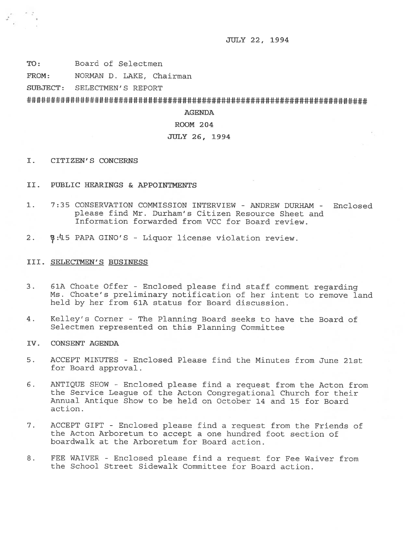JULY 22, 1994

TO: Board of Selectmen

FROM: NORMAN D. LAKE, Chairman

SUBJECT: SELECTMEN'S REPORT

######################################################################

## AGENDA

## ROOM 204

## JULY 26, 1994

- I. CITIZEN'S CONCERNS
- II. PUBLIC HEARINGS & APPOINTMENTS
- 1. 7:35 CONSERVATION COMMISSION INTERVIEW ANDREW DURHAM Enclosed please find Mr. Durham's Citizen Resource Sheet and Information forwarded from VCC for Board review.
- 2.  $\frac{1}{2}$ :45 PAPA GINO'S Liquor license violation review.

## III. SELECTMEN'S BUSINESS

- 3. 61A Choate Offer Enclosed <sup>p</sup>lease find staff comment regarding Ms. Choate's preliminary notification of her intent to remove land held by her from 61A status for Board discussion.
- 4. Kelley's Corner The Planning Board seeks to have the Board of Selectmen represented on this Planning Committee
- IV. CONSENT AGENDA
- 5. ACCEPT MINUTES -Enclosed Please find the Minutes from June 21st for Board approval.
- 6. ANTIQUE SHOW -Enclosed <sup>p</sup>lease find <sup>a</sup> request from the Acton from the Service League of the Acton Congregational Church for their Annual Antique Show to be held on October 14 and 15 for Board action.
- 7. ACCEPT GIFT Enclosed please find a request from the Friends of the Acton Arboretum to accept <sup>a</sup> one hundred foot section of boardwalk at the Arboretum for Board action.
- 8. FEE WAIVER Enclosed please find <sup>a</sup> request for Fee Waiver from the School Street Sidewalk Committee for Board action.